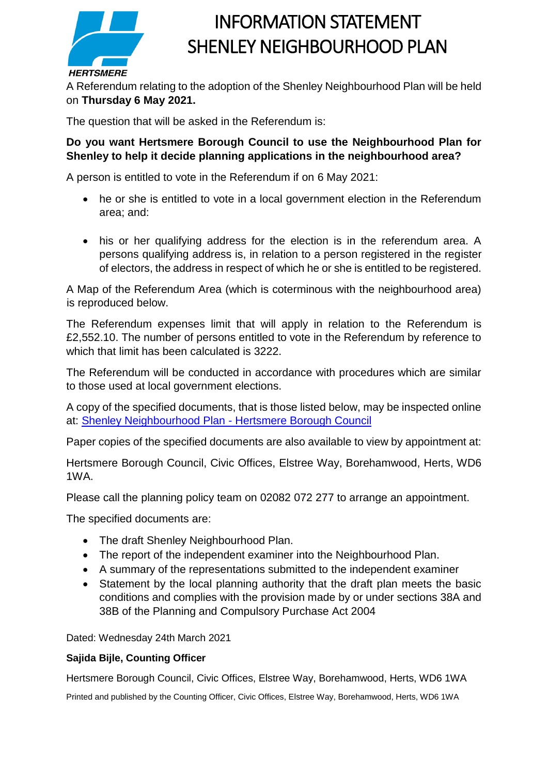

## INFORMATION STATEMENT SHENLEY NEIGHBOURHOOD PLAN

A Referendum relating to the adoption of the Shenley Neighbourhood Plan will be held on **Thursday 6 May 2021.**

The question that will be asked in the Referendum is:

## **Do you want Hertsmere Borough Council to use the Neighbourhood Plan for Shenley to help it decide planning applications in the neighbourhood area?**

A person is entitled to vote in the Referendum if on 6 May 2021:

- he or she is entitled to vote in a local government election in the Referendum area; and:
- his or her qualifying address for the election is in the referendum area. A persons qualifying address is, in relation to a person registered in the register of electors, the address in respect of which he or she is entitled to be registered.

A Map of the Referendum Area (which is coterminous with the neighbourhood area) is reproduced below.

The Referendum expenses limit that will apply in relation to the Referendum is £2,552.10. The number of persons entitled to vote in the Referendum by reference to which that limit has been calculated is 3222.

The Referendum will be conducted in accordance with procedures which are similar to those used at local government elections.

A copy of the specified documents, that is those listed below, may be inspected online at: [Shenley Neighbourhood Plan -](https://www.hertsmere.gov.uk/Planning--Building-Control/Planning-Policy/Shenley-Neighbourhood-Plan.aspx) Hertsmere Borough Council

Paper copies of the specified documents are also available to view by appointment at:

Hertsmere Borough Council, Civic Offices, Elstree Way, Borehamwood, Herts, WD6 1WA.

Please call the planning policy team on 02082 072 277 to arrange an appointment.

The specified documents are:

- The draft Shenley Neighbourhood Plan.
- The report of the independent examiner into the Neighbourhood Plan.
- A summary of the representations submitted to the independent examiner
- Statement by the local planning authority that the draft plan meets the basic conditions and complies with the provision made by or under sections 38A and 38B of the Planning and Compulsory Purchase Act 2004

Dated: Wednesday 24th March 2021

## **Sajida Bijle, Counting Officer**

Hertsmere Borough Council, Civic Offices, Elstree Way, Borehamwood, Herts, WD6 1WA

Printed and published by the Counting Officer, Civic Offices, Elstree Way, Borehamwood, Herts, WD6 1WA